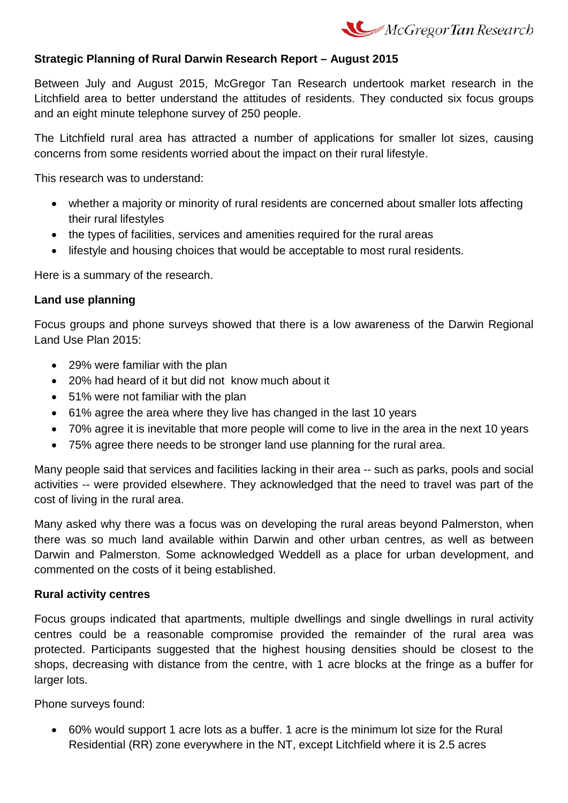

## **Strategic Planning of Rural Darwin Research Report – August 2015**

Between July and August 2015, McGregor Tan Research undertook market research in the Litchfield area to better understand the attitudes of residents. They conducted six focus groups and an eight minute telephone survey of 250 people.

The Litchfield rural area has attracted a number of applications for smaller lot sizes, causing concerns from some residents worried about the impact on their rural lifestyle.

This research was to understand:

- whether a majority or minority of rural residents are concerned about smaller lots affecting their rural lifestyles
- the types of facilities, services and amenities required for the rural areas
- lifestyle and housing choices that would be acceptable to most rural residents.

Here is a summary of the research.

## **Land use planning**

Focus groups and phone surveys showed that there is a low awareness of the Darwin Regional Land Use Plan 2015:

- 29% were familiar with the plan
- 20% had heard of it but did not know much about it
- 51% were not familiar with the plan
- 61% agree the area where they live has changed in the last 10 years
- 70% agree it is inevitable that more people will come to live in the area in the next 10 years
- 75% agree there needs to be stronger land use planning for the rural area.

Many people said that services and facilities lacking in their area -- such as parks, pools and social activities -- were provided elsewhere. They acknowledged that the need to travel was part of the cost of living in the rural area.

Many asked why there was a focus was on developing the rural areas beyond Palmerston, when there was so much land available within Darwin and other urban centres, as well as between Darwin and Palmerston. Some acknowledged Weddell as a place for urban development, and commented on the costs of it being established.

## **Rural activity centres**

Focus groups indicated that apartments, multiple dwellings and single dwellings in rural activity centres could be a reasonable compromise provided the remainder of the rural area was protected. Participants suggested that the highest housing densities should be closest to the shops, decreasing with distance from the centre, with 1 acre blocks at the fringe as a buffer for larger lots.

Phone surveys found:

• 60% would support 1 acre lots as a buffer. 1 acre is the minimum lot size for the Rural Residential (RR) zone everywhere in the NT, except Litchfield where it is 2.5 acres